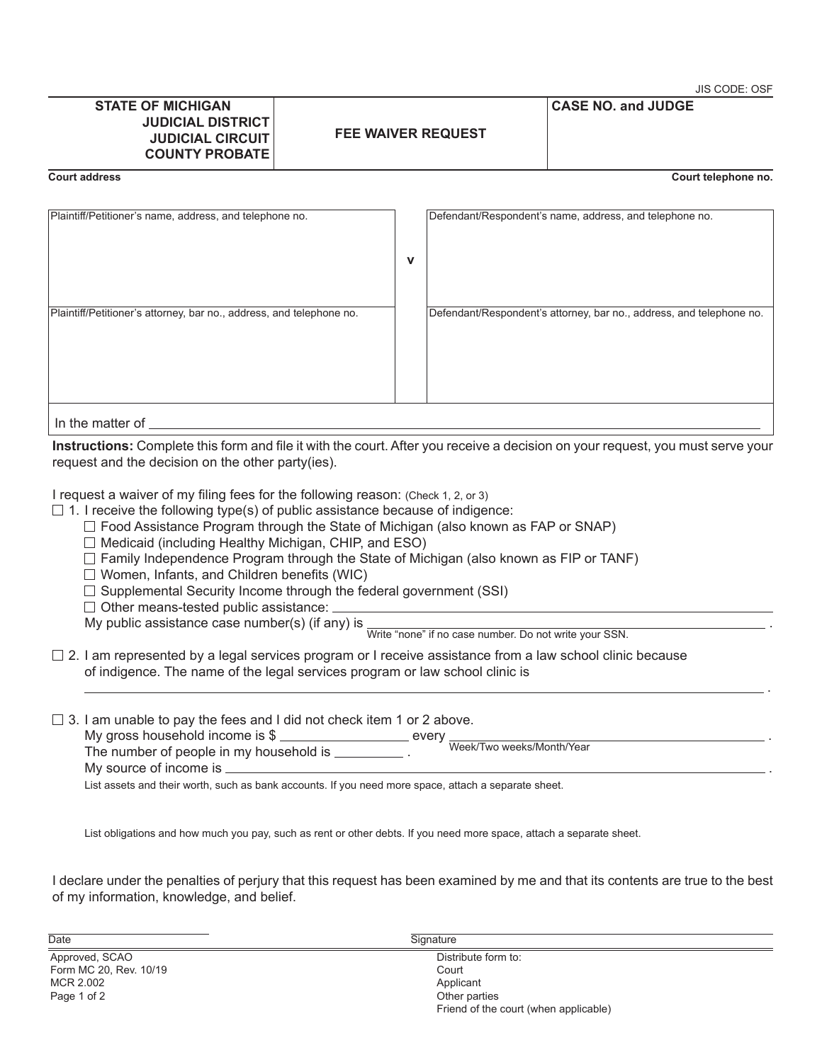#### **STATE OF MICHIGAN JUDICIAL DISTRICT JUDICIAL CIRCUIT COUNTY PROBATE**

JIS CODE: OSF

**Court address Court telephone no.**

**CASE NO. and JUDGE**

| Plaintiff/Petitioner's name, address, and telephone no.              |   | Defendant/Respondent's name, address, and telephone no.              |
|----------------------------------------------------------------------|---|----------------------------------------------------------------------|
|                                                                      | v |                                                                      |
| Plaintiff/Petitioner's attorney, bar no., address, and telephone no. |   | Defendant/Respondent's attorney, bar no., address, and telephone no. |
| In the matter of                                                     |   |                                                                      |

**Instructions:** Complete this form and file it with the court. After you receive a decision on your request, you must serve your request and the decision on the other party(ies).

I request a waiver of my filing fees for the following reason: (Check 1, 2, or 3)

- $\Box$  1. I receive the following type(s) of public assistance because of indigence:
	- $\Box$  Food Assistance Program through the State of Michigan (also known as FAP or SNAP)
	- $\Box$  Medicaid (including Healthy Michigan, CHIP, and ESO)
	- $\Box$  Family Independence Program through the State of Michigan (also known as FIP or TANF)
	- $\Box$  Women, Infants, and Children benefits (WIC)
	- $\Box$  Supplemental Security Income through the federal government (SSI)
	- $\Box$  Other means-tested public assistance:

□ Other means to seed possing number(s) (if any) is Write "none" if no case number. Do not write your SSN.

- $\Box$  2. I am represented by a legal services program or I receive assistance from a law school clinic because of indigence. The name of the legal services program or law school clinic is
- $\Box$  3. I am unable to pay the fees and I did not check item 1 or 2 above.

| My gross household income is $\frac{6}{3}$ .<br>The number of people in my household is | even<br>Week/Two weeks/Month/Year |
|-----------------------------------------------------------------------------------------|-----------------------------------|
| My source of income is                                                                  |                                   |
|                                                                                         |                                   |

.

List assets and their worth, such as bank accounts. If you need more space, attach a separate sheet.

List obligations and how much you pay, such as rent or other debts. If you need more space, attach a separate sheet.

I declare under the penalties of perjury that this request has been examined by me and that its contents are true to the best of my information, knowledge, and belief.

of the Signature of the Signature of the Signature of the Signature of the Signature of the Signature of the Signature of the Signature of the Signature of the Signature of the Signature of the Signature of the Signature o